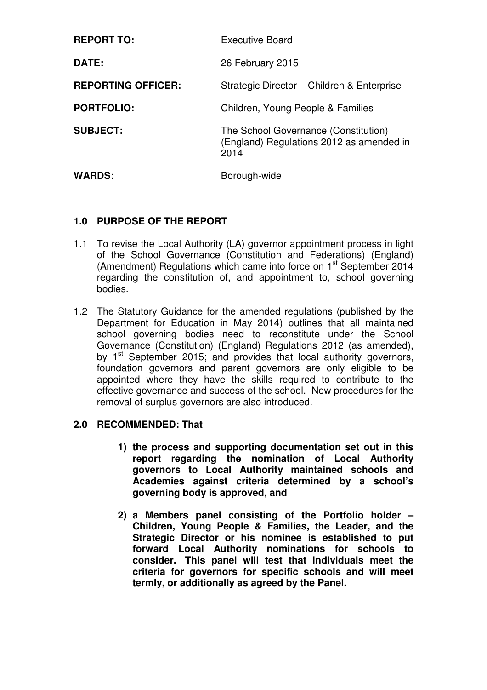| <b>REPORT TO:</b>         | <b>Executive Board</b>                                                                   |
|---------------------------|------------------------------------------------------------------------------------------|
| DATE:                     | 26 February 2015                                                                         |
| <b>REPORTING OFFICER:</b> | Strategic Director - Children & Enterprise                                               |
| <b>PORTFOLIO:</b>         | Children, Young People & Families                                                        |
| <b>SUBJECT:</b>           | The School Governance (Constitution)<br>(England) Regulations 2012 as amended in<br>2014 |
| <b>WARDS:</b>             | Borough-wide                                                                             |

# **1.0 PURPOSE OF THE REPORT**

- 1.1 To revise the Local Authority (LA) governor appointment process in light of the School Governance (Constitution and Federations) (England) (Amendment) Regulations which came into force on 1<sup>st</sup> September 2014 regarding the constitution of, and appointment to, school governing bodies.
- 1.2 The Statutory Guidance for the amended regulations (published by the Department for Education in May 2014) outlines that all maintained school governing bodies need to reconstitute under the School Governance (Constitution) (England) Regulations 2012 (as amended), by 1<sup>st</sup> September 2015; and provides that local authority governors, foundation governors and parent governors are only eligible to be appointed where they have the skills required to contribute to the effective governance and success of the school. New procedures for the removal of surplus governors are also introduced.

## **2.0 RECOMMENDED: That**

- **1) the process and supporting documentation set out in this report regarding the nomination of Local Authority governors to Local Authority maintained schools and Academies against criteria determined by a school's governing body is approved, and**
- **2) a Members panel consisting of the Portfolio holder Children, Young People & Families, the Leader, and the Strategic Director or his nominee is established to put forward Local Authority nominations for schools to consider. This panel will test that individuals meet the criteria for governors for specific schools and will meet termly, or additionally as agreed by the Panel.**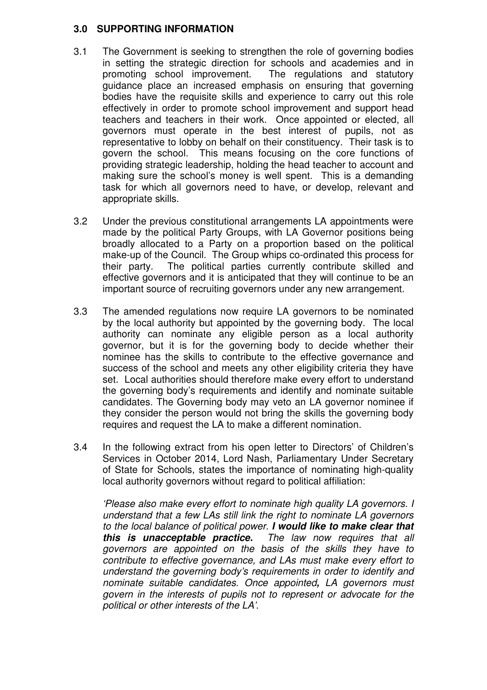#### **3.0 SUPPORTING INFORMATION**

- 3.1 The Government is seeking to strengthen the role of governing bodies in setting the strategic direction for schools and academies and in promoting school improvement. The regulations and statutory guidance place an increased emphasis on ensuring that governing bodies have the requisite skills and experience to carry out this role effectively in order to promote school improvement and support head teachers and teachers in their work. Once appointed or elected, all governors must operate in the best interest of pupils, not as representative to lobby on behalf on their constituency. Their task is to govern the school. This means focusing on the core functions of providing strategic leadership, holding the head teacher to account and making sure the school's money is well spent. This is a demanding task for which all governors need to have, or develop, relevant and appropriate skills.
- 3.2 Under the previous constitutional arrangements LA appointments were made by the political Party Groups, with LA Governor positions being broadly allocated to a Party on a proportion based on the political make-up of the Council. The Group whips co-ordinated this process for their party. The political parties currently contribute skilled and effective governors and it is anticipated that they will continue to be an important source of recruiting governors under any new arrangement.
- 3.3 The amended regulations now require LA governors to be nominated by the local authority but appointed by the governing body. The local authority can nominate any eligible person as a local authority governor, but it is for the governing body to decide whether their nominee has the skills to contribute to the effective governance and success of the school and meets any other eligibility criteria they have set. Local authorities should therefore make every effort to understand the governing body's requirements and identify and nominate suitable candidates. The Governing body may veto an LA governor nominee if they consider the person would not bring the skills the governing body requires and request the LA to make a different nomination.
- 3.4 In the following extract from his open letter to Directors' of Children's Services in October 2014, Lord Nash, Parliamentary Under Secretary of State for Schools, states the importance of nominating high-quality local authority governors without regard to political affiliation:

'Please also make every effort to nominate high quality LA governors. I understand that a few LAs still link the right to nominate LA governors to the local balance of political power. **I would like to make clear that this is unacceptable practice.** The law now requires that all governors are appointed on the basis of the skills they have to contribute to effective governance, and LAs must make every effort to understand the governing body's requirements in order to identify and nominate suitable candidates. Once appointed**,** LA governors must govern in the interests of pupils not to represent or advocate for the political or other interests of the LA'.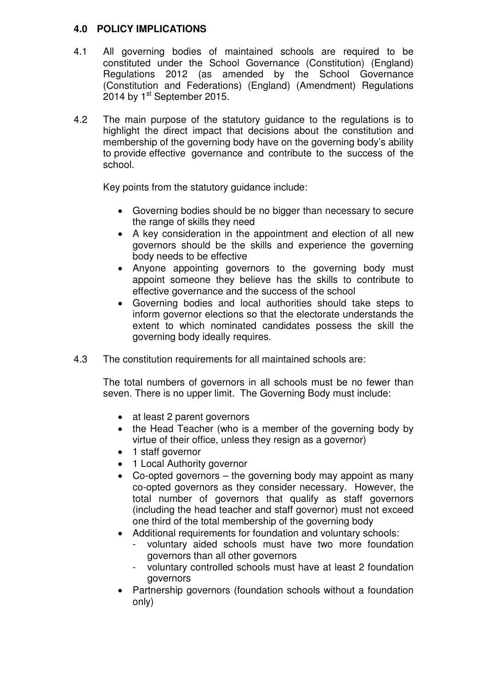### **4.0 POLICY IMPLICATIONS**

- 4.1 All governing bodies of maintained schools are required to be constituted under the School Governance (Constitution) (England) Regulations 2012 (as amended by the School Governance (Constitution and Federations) (England) (Amendment) Regulations 2014 by  $1<sup>st</sup>$  September 2015.
- 4.2 The main purpose of the statutory guidance to the regulations is to highlight the direct impact that decisions about the constitution and membership of the governing body have on the governing body's ability to provide effective governance and contribute to the success of the school.

Key points from the statutory guidance include:

- Governing bodies should be no bigger than necessary to secure the range of skills they need
- A key consideration in the appointment and election of all new governors should be the skills and experience the governing body needs to be effective
- Anyone appointing governors to the governing body must appoint someone they believe has the skills to contribute to effective governance and the success of the school
- Governing bodies and local authorities should take steps to inform governor elections so that the electorate understands the extent to which nominated candidates possess the skill the governing body ideally requires.
- 4.3 The constitution requirements for all maintained schools are:

The total numbers of governors in all schools must be no fewer than seven. There is no upper limit. The Governing Body must include:

- at least 2 parent governors
- the Head Teacher (who is a member of the governing body by virtue of their office, unless they resign as a governor)
- 1 staff governor
- 1 Local Authority governor
- Co-opted governors the governing body may appoint as many co-opted governors as they consider necessary. However, the total number of governors that qualify as staff governors (including the head teacher and staff governor) must not exceed one third of the total membership of the governing body
- Additional requirements for foundation and voluntary schools:
	- voluntary aided schools must have two more foundation governors than all other governors
	- voluntary controlled schools must have at least 2 foundation governors
- Partnership governors (foundation schools without a foundation only)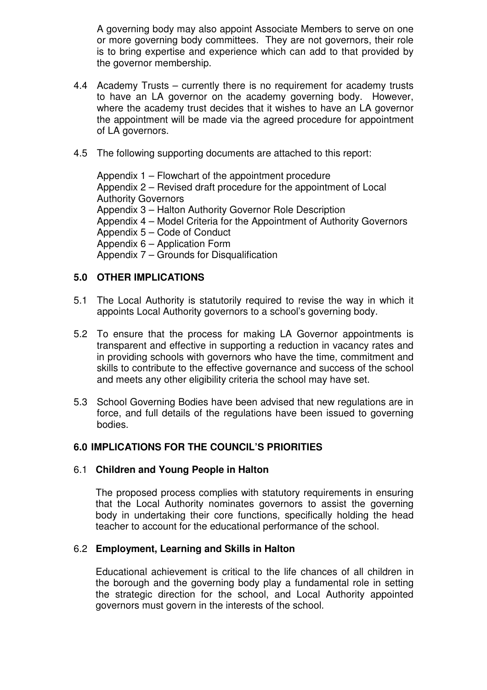A governing body may also appoint Associate Members to serve on one or more governing body committees. They are not governors, their role is to bring expertise and experience which can add to that provided by the governor membership.

- 4.4 Academy Trusts currently there is no requirement for academy trusts to have an LA governor on the academy governing body. However, where the academy trust decides that it wishes to have an LA governor the appointment will be made via the agreed procedure for appointment of LA governors.
- 4.5 The following supporting documents are attached to this report:

 Appendix 1 – Flowchart of the appointment procedure Appendix 2 – Revised draft procedure for the appointment of Local Authority Governors Appendix 3 – Halton Authority Governor Role Description Appendix 4 – Model Criteria for the Appointment of Authority Governors Appendix 5 – Code of Conduct Appendix 6 – Application Form Appendix 7 – Grounds for Disqualification

### **5.0 OTHER IMPLICATIONS**

- 5.1 The Local Authority is statutorily required to revise the way in which it appoints Local Authority governors to a school's governing body.
- 5.2 To ensure that the process for making LA Governor appointments is transparent and effective in supporting a reduction in vacancy rates and in providing schools with governors who have the time, commitment and skills to contribute to the effective governance and success of the school and meets any other eligibility criteria the school may have set.
- 5.3 School Governing Bodies have been advised that new regulations are in force, and full details of the regulations have been issued to governing bodies.

#### **6.0 IMPLICATIONS FOR THE COUNCIL'S PRIORITIES**

#### 6.1 **Children and Young People in Halton**

The proposed process complies with statutory requirements in ensuring that the Local Authority nominates governors to assist the governing body in undertaking their core functions, specifically holding the head teacher to account for the educational performance of the school.

#### 6.2 **Employment, Learning and Skills in Halton**

Educational achievement is critical to the life chances of all children in the borough and the governing body play a fundamental role in setting the strategic direction for the school, and Local Authority appointed governors must govern in the interests of the school.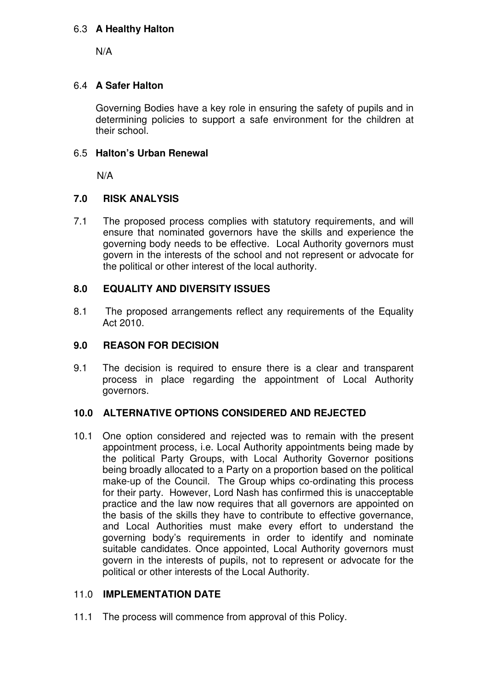### 6.3 **A Healthy Halton**

N/A

### 6.4 **A Safer Halton**

Governing Bodies have a key role in ensuring the safety of pupils and in determining policies to support a safe environment for the children at their school.

### 6.5 **Halton's Urban Renewal**

N/A

### **7.0 RISK ANALYSIS**

7.1 The proposed process complies with statutory requirements, and will ensure that nominated governors have the skills and experience the governing body needs to be effective. Local Authority governors must govern in the interests of the school and not represent or advocate for the political or other interest of the local authority.

## **8.0 EQUALITY AND DIVERSITY ISSUES**

8.1 The proposed arrangements reflect any requirements of the Equality Act 2010.

## **9.0 REASON FOR DECISION**

9.1 The decision is required to ensure there is a clear and transparent process in place regarding the appointment of Local Authority governors.

#### **10.0 ALTERNATIVE OPTIONS CONSIDERED AND REJECTED**

10.1 One option considered and rejected was to remain with the present appointment process, i.e. Local Authority appointments being made by the political Party Groups, with Local Authority Governor positions being broadly allocated to a Party on a proportion based on the political make-up of the Council. The Group whips co-ordinating this process for their party. However, Lord Nash has confirmed this is unacceptable practice and the law now requires that all governors are appointed on the basis of the skills they have to contribute to effective governance, and Local Authorities must make every effort to understand the governing body's requirements in order to identify and nominate suitable candidates. Once appointed, Local Authority governors must govern in the interests of pupils, not to represent or advocate for the political or other interests of the Local Authority.

#### 11.0 **IMPLEMENTATION DATE**

11.1 The process will commence from approval of this Policy.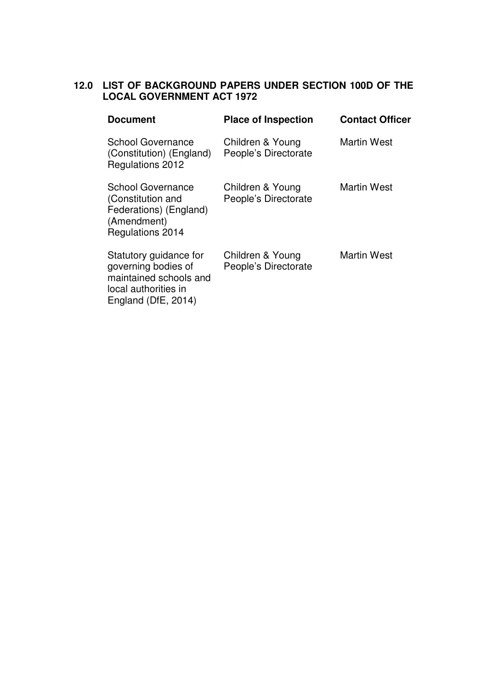# **12.0 LIST OF BACKGROUND PAPERS UNDER SECTION 100D OF THE LOCAL GOVERNMENT ACT 1972**

| <b>Document</b>                                                                                                        | <b>Place of Inspection</b>               | <b>Contact Officer</b> |
|------------------------------------------------------------------------------------------------------------------------|------------------------------------------|------------------------|
| <b>School Governance</b><br>(Constitution) (England)<br>Regulations 2012                                               | Children & Young<br>People's Directorate | <b>Martin West</b>     |
| <b>School Governance</b><br>(Constitution and<br>Federations) (England)<br>(Amendment)<br>Regulations 2014             | Children & Young<br>People's Directorate | <b>Martin West</b>     |
| Statutory guidance for<br>governing bodies of<br>maintained schools and<br>local authorities in<br>England (DfE, 2014) | Children & Young<br>People's Directorate | <b>Martin West</b>     |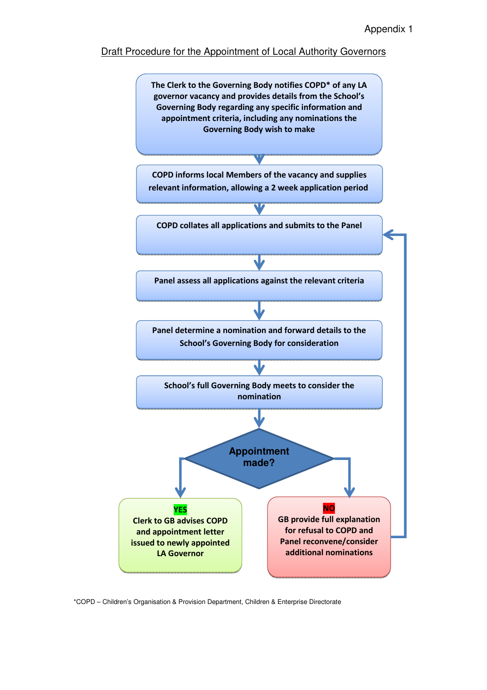#### Draft Procedure for the Appointment of Local Authority Governors



\*COPD – Children's Organisation & Provision Department, Children & Enterprise Directorate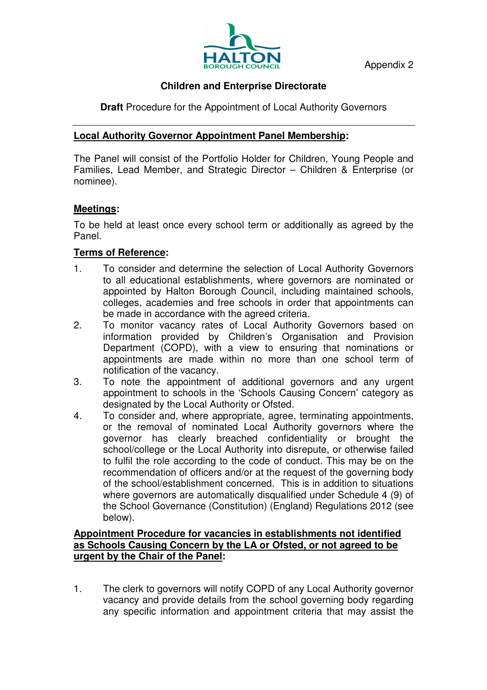Appendix 2



# **Children and Enterprise Directorate**

**Draft** Procedure for the Appointment of Local Authority Governors

# **Local Authority Governor Appointment Panel Membership:**

The Panel will consist of the Portfolio Holder for Children, Young People and Families, Lead Member, and Strategic Director – Children & Enterprise (or nominee).

## **Meetings:**

To be held at least once every school term or additionally as agreed by the Panel.

# **Terms of Reference:**

- 1. To consider and determine the selection of Local Authority Governors to all educational establishments, where governors are nominated or appointed by Halton Borough Council, including maintained schools, colleges, academies and free schools in order that appointments can be made in accordance with the agreed criteria.
- 2. To monitor vacancy rates of Local Authority Governors based on information provided by Children's Organisation and Provision Department (COPD), with a view to ensuring that nominations or appointments are made within no more than one school term of notification of the vacancy.
- 3. To note the appointment of additional governors and any urgent appointment to schools in the 'Schools Causing Concern' category as designated by the Local Authority or Ofsted.
- 4. To consider and, where appropriate, agree, terminating appointments, or the removal of nominated Local Authority governors where the governor has clearly breached confidentiality or brought the school/college or the Local Authority into disrepute, or otherwise failed to fulfil the role according to the code of conduct. This may be on the recommendation of officers and/or at the request of the governing body of the school/establishment concerned. This is in addition to situations where governors are automatically disqualified under Schedule 4 (9) of the School Governance (Constitution) (England) Regulations 2012 (see below).

### **Appointment Procedure for vacancies in establishments not identified as Schools Causing Concern by the LA or Ofsted, or not agreed to be urgent by the Chair of the Panel:**

1. The clerk to governors will notify COPD of any Local Authority governor vacancy and provide details from the school governing body regarding any specific information and appointment criteria that may assist the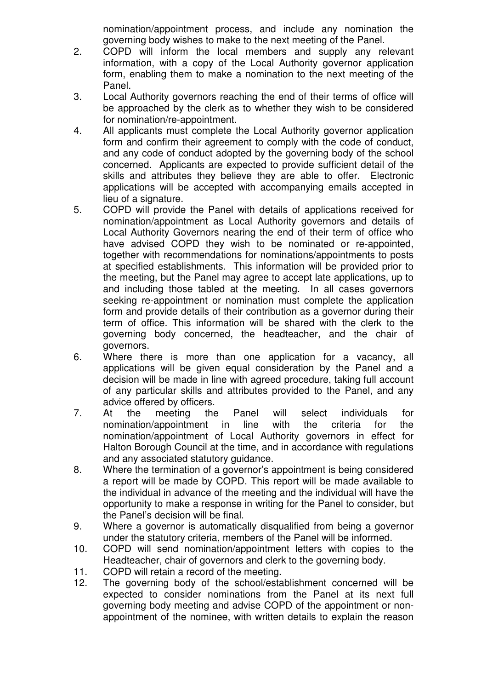nomination/appointment process, and include any nomination the governing body wishes to make to the next meeting of the Panel.

- 2. COPD will inform the local members and supply any relevant information, with a copy of the Local Authority governor application form, enabling them to make a nomination to the next meeting of the Panel.
- 3. Local Authority governors reaching the end of their terms of office will be approached by the clerk as to whether they wish to be considered for nomination/re-appointment.
- 4. All applicants must complete the Local Authority governor application form and confirm their agreement to comply with the code of conduct, and any code of conduct adopted by the governing body of the school concerned. Applicants are expected to provide sufficient detail of the skills and attributes they believe they are able to offer. Electronic applications will be accepted with accompanying emails accepted in lieu of a signature.
- 5. COPD will provide the Panel with details of applications received for nomination/appointment as Local Authority governors and details of Local Authority Governors nearing the end of their term of office who have advised COPD they wish to be nominated or re-appointed, together with recommendations for nominations/appointments to posts at specified establishments. This information will be provided prior to the meeting, but the Panel may agree to accept late applications, up to and including those tabled at the meeting. In all cases governors seeking re-appointment or nomination must complete the application form and provide details of their contribution as a governor during their term of office. This information will be shared with the clerk to the governing body concerned, the headteacher, and the chair of governors.
- 6. Where there is more than one application for a vacancy, all applications will be given equal consideration by the Panel and a decision will be made in line with agreed procedure, taking full account of any particular skills and attributes provided to the Panel, and any advice offered by officers.
- 7. At the meeting the Panel will select individuals for nomination/appointment in line with the criteria for the nomination/appointment of Local Authority governors in effect for Halton Borough Council at the time, and in accordance with regulations and any associated statutory guidance.
- 8. Where the termination of a governor's appointment is being considered a report will be made by COPD. This report will be made available to the individual in advance of the meeting and the individual will have the opportunity to make a response in writing for the Panel to consider, but the Panel's decision will be final.
- 9. Where a governor is automatically disqualified from being a governor under the statutory criteria, members of the Panel will be informed.
- 10. COPD will send nomination/appointment letters with copies to the Headteacher, chair of governors and clerk to the governing body.
- 11. COPD will retain a record of the meeting.
- 12. The governing body of the school/establishment concerned will be expected to consider nominations from the Panel at its next full governing body meeting and advise COPD of the appointment or nonappointment of the nominee, with written details to explain the reason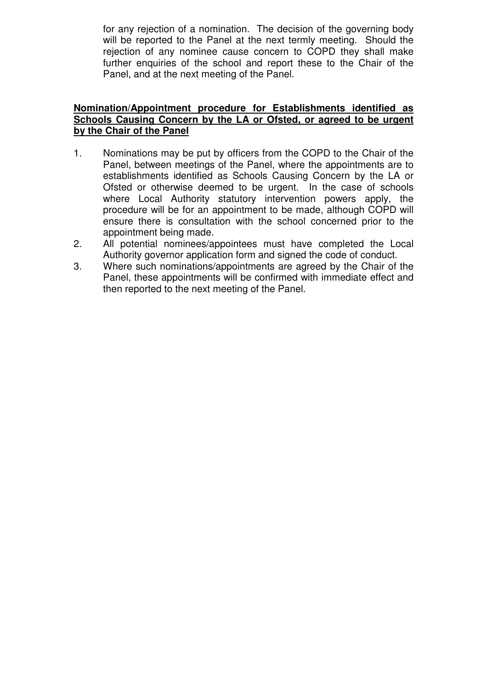for any rejection of a nomination. The decision of the governing body will be reported to the Panel at the next termly meeting. Should the rejection of any nominee cause concern to COPD they shall make further enquiries of the school and report these to the Chair of the Panel, and at the next meeting of the Panel.

#### **Nomination/Appointment procedure for Establishments identified as Schools Causing Concern by the LA or Ofsted, or agreed to be urgent by the Chair of the Panel**

- 1. Nominations may be put by officers from the COPD to the Chair of the Panel, between meetings of the Panel, where the appointments are to establishments identified as Schools Causing Concern by the LA or Ofsted or otherwise deemed to be urgent. In the case of schools where Local Authority statutory intervention powers apply, the procedure will be for an appointment to be made, although COPD will ensure there is consultation with the school concerned prior to the appointment being made.
- 2. All potential nominees/appointees must have completed the Local Authority governor application form and signed the code of conduct.
- 3. Where such nominations/appointments are agreed by the Chair of the Panel, these appointments will be confirmed with immediate effect and then reported to the next meeting of the Panel.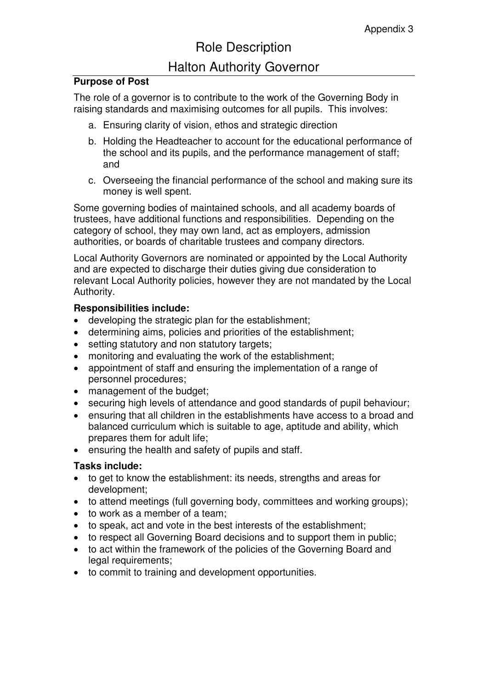# Role Description

# Halton Authority Governor

## **Purpose of Post**

The role of a governor is to contribute to the work of the Governing Body in raising standards and maximising outcomes for all pupils. This involves:

- a. Ensuring clarity of vision, ethos and strategic direction
- b. Holding the Headteacher to account for the educational performance of the school and its pupils, and the performance management of staff; and
- c. Overseeing the financial performance of the school and making sure its money is well spent.

Some governing bodies of maintained schools, and all academy boards of trustees, have additional functions and responsibilities. Depending on the category of school, they may own land, act as employers, admission authorities, or boards of charitable trustees and company directors.

Local Authority Governors are nominated or appointed by the Local Authority and are expected to discharge their duties giving due consideration to relevant Local Authority policies, however they are not mandated by the Local Authority.

## **Responsibilities include:**

- developing the strategic plan for the establishment;
- determining aims, policies and priorities of the establishment;
- setting statutory and non statutory targets;
- monitoring and evaluating the work of the establishment;
- appointment of staff and ensuring the implementation of a range of personnel procedures;
- management of the budget;
- securing high levels of attendance and good standards of pupil behaviour;
- ensuring that all children in the establishments have access to a broad and balanced curriculum which is suitable to age, aptitude and ability, which prepares them for adult life;
- ensuring the health and safety of pupils and staff.

## **Tasks include:**

- to get to know the establishment: its needs, strengths and areas for development;
- to attend meetings (full governing body, committees and working groups);
- to work as a member of a team;
- to speak, act and vote in the best interests of the establishment:
- to respect all Governing Board decisions and to support them in public;
- to act within the framework of the policies of the Governing Board and legal requirements:
- to commit to training and development opportunities.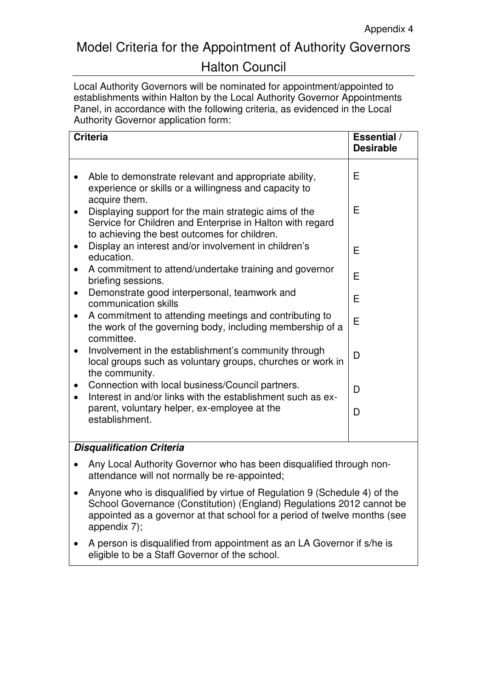# Model Criteria for the Appointment of Authority Governors

# Halton Council

Local Authority Governors will be nominated for appointment/appointed to establishments within Halton by the Local Authority Governor Appointments Panel, in accordance with the following criteria, as evidenced in the Local Authority Governor application form:

| <b>Criteria</b>                                                                                                                                                    | <b>Essential</b> /<br><b>Desirable</b> |
|--------------------------------------------------------------------------------------------------------------------------------------------------------------------|----------------------------------------|
| Able to demonstrate relevant and appropriate ability,<br>experience or skills or a willingness and capacity to<br>acquire them.                                    | E                                      |
| Displaying support for the main strategic aims of the<br>Service for Children and Enterprise in Halton with regard<br>to achieving the best outcomes for children. | E                                      |
| Display an interest and/or involvement in children's<br>$\bullet$<br>education.                                                                                    | Е                                      |
| A commitment to attend/undertake training and governor<br>$\bullet$<br>briefing sessions.                                                                          | Е                                      |
| Demonstrate good interpersonal, teamwork and<br>communication skills                                                                                               | E                                      |
| A commitment to attending meetings and contributing to<br>$\bullet$<br>the work of the governing body, including membership of a<br>committee.                     | E                                      |
| Involvement in the establishment's community through<br>$\bullet$<br>local groups such as voluntary groups, churches or work in<br>the community.                  | D                                      |
| Connection with local business/Council partners.<br>Interest in and/or links with the establishment such as ex-                                                    | D                                      |
| parent, voluntary helper, ex-employee at the<br>establishment.                                                                                                     | D                                      |
| Diegualification Critoria                                                                                                                                          |                                        |

## **Disqualification Criteria**

- Any Local Authority Governor who has been disqualified through nonattendance will not normally be re-appointed;
- Anyone who is disqualified by virtue of Regulation 9 (Schedule 4) of the School Governance (Constitution) (England) Regulations 2012 cannot be appointed as a governor at that school for a period of twelve months (see appendix 7);
- A person is disqualified from appointment as an LA Governor if s/he is eligible to be a Staff Governor of the school.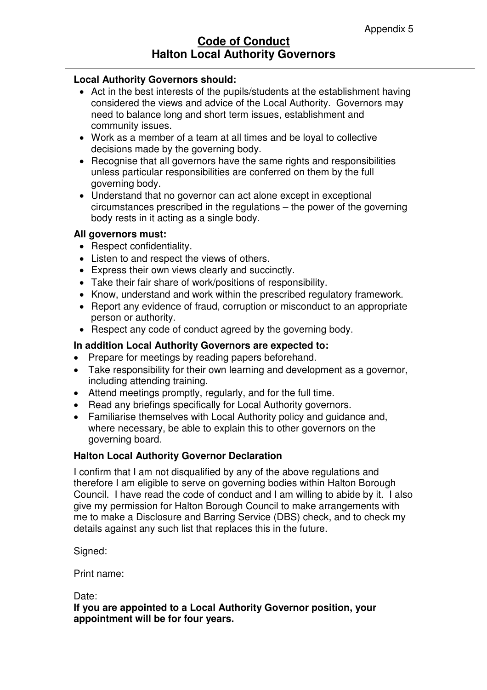#### **Local Authority Governors should:**

- Act in the best interests of the pupils/students at the establishment having considered the views and advice of the Local Authority. Governors may need to balance long and short term issues, establishment and community issues.
- Work as a member of a team at all times and be loyal to collective decisions made by the governing body.
- Recognise that all governors have the same rights and responsibilities unless particular responsibilities are conferred on them by the full governing body.
- Understand that no governor can act alone except in exceptional circumstances prescribed in the regulations – the power of the governing body rests in it acting as a single body.

#### **All governors must:**

- Respect confidentiality.
- Listen to and respect the views of others.
- Express their own views clearly and succinctly.
- Take their fair share of work/positions of responsibility.
- Know, understand and work within the prescribed regulatory framework.
- Report any evidence of fraud, corruption or misconduct to an appropriate person or authority.
- Respect any code of conduct agreed by the governing body.

#### **In addition Local Authority Governors are expected to:**

- Prepare for meetings by reading papers beforehand.
- Take responsibility for their own learning and development as a governor, including attending training.
- Attend meetings promptly, regularly, and for the full time.
- Read any briefings specifically for Local Authority governors.
- Familiarise themselves with Local Authority policy and guidance and, where necessary, be able to explain this to other governors on the governing board.

#### **Halton Local Authority Governor Declaration**

I confirm that I am not disqualified by any of the above regulations and therefore I am eligible to serve on governing bodies within Halton Borough Council. I have read the code of conduct and I am willing to abide by it. I also give my permission for Halton Borough Council to make arrangements with me to make a Disclosure and Barring Service (DBS) check, and to check my details against any such list that replaces this in the future.

Signed:

Print name:

Date:

**If you are appointed to a Local Authority Governor position, your appointment will be for four years.**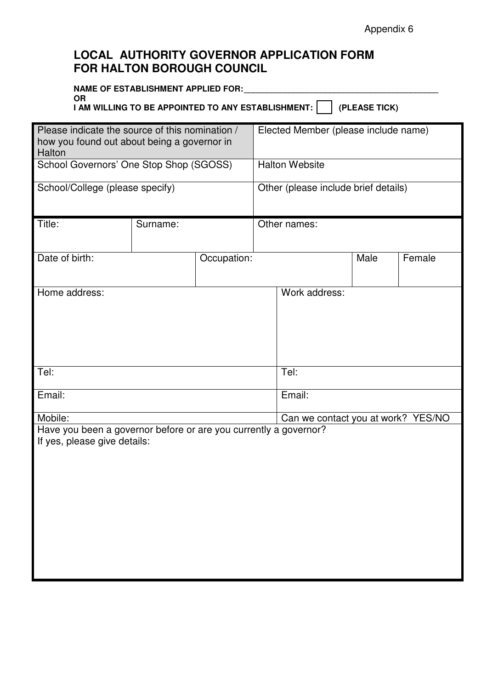# **LOCAL AUTHORITY GOVERNOR APPLICATION FORM FOR HALTON BOROUGH COUNCIL**

| NAME OF ESTABLISHMENT APPLIED FOR:                 |                   |
|----------------------------------------------------|-------------------|
| . OR                                               |                   |
| I AM WILLING TO BE APPOINTED TO ANY ESTABLISHMENT: | $ $ (PLEASE TICK) |

| Please indicate the source of this nomination /<br>how you found out about being a governor in<br>Halton |          |                                      | Elected Member (please include name) |                                    |      |        |  |
|----------------------------------------------------------------------------------------------------------|----------|--------------------------------------|--------------------------------------|------------------------------------|------|--------|--|
| School Governors' One Stop Shop (SGOSS)                                                                  |          |                                      | <b>Halton Website</b>                |                                    |      |        |  |
| School/College (please specify)                                                                          |          | Other (please include brief details) |                                      |                                    |      |        |  |
| Title:                                                                                                   | Surname: |                                      | Other names:                         |                                    |      |        |  |
| Date of birth:                                                                                           |          | Occupation:                          |                                      |                                    | Male | Female |  |
| Home address:                                                                                            |          |                                      |                                      | Work address:                      |      |        |  |
| Tel:                                                                                                     |          |                                      |                                      | Tel:                               |      |        |  |
| Email:                                                                                                   |          |                                      |                                      | Email:                             |      |        |  |
| Mobile:                                                                                                  |          |                                      |                                      | Can we contact you at work? YES/NO |      |        |  |
| Have you been a governor before or are you currently a governor?<br>If yes, please give details:         |          |                                      |                                      |                                    |      |        |  |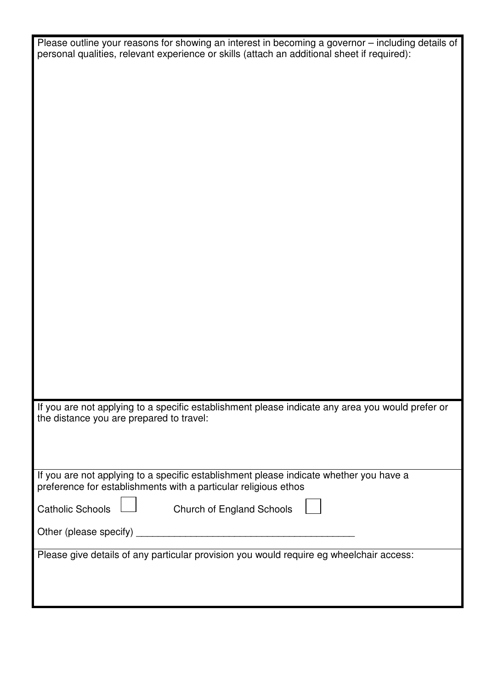| Please outline your reasons for showing an interest in becoming a governor - including details of |
|---------------------------------------------------------------------------------------------------|
| personal qualities, relevant experience or skills (attach an additional sheet if required):       |
|                                                                                                   |
|                                                                                                   |
|                                                                                                   |
|                                                                                                   |
|                                                                                                   |
|                                                                                                   |
|                                                                                                   |
|                                                                                                   |
|                                                                                                   |
|                                                                                                   |
|                                                                                                   |
|                                                                                                   |
|                                                                                                   |
|                                                                                                   |
|                                                                                                   |
|                                                                                                   |
|                                                                                                   |
|                                                                                                   |
|                                                                                                   |
|                                                                                                   |
| If you are not applying to a specific establishment please indicate any area you would prefer or  |
| the distance you are prepared to travel:                                                          |
|                                                                                                   |
|                                                                                                   |
| If you are not applying to a specific establishment please indicate whether you have a            |
| preference for establishments with a particular religious ethos                                   |
| <b>Catholic Schools</b><br>Church of England Schools                                              |
| Other (please specify)                                                                            |
| Please give details of any particular provision you would require eg wheelchair access:           |
|                                                                                                   |
|                                                                                                   |
|                                                                                                   |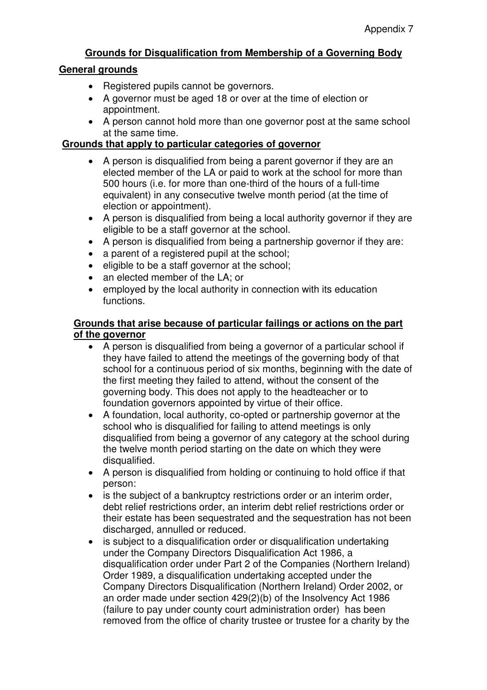# **Grounds for Disqualification from Membership of a Governing Body**

## **General grounds**

- Registered pupils cannot be governors.
- A governor must be aged 18 or over at the time of election or appointment.
- A person cannot hold more than one governor post at the same school at the same time.

# **Grounds that apply to particular categories of governor**

- A person is disqualified from being a parent governor if they are an elected member of the LA or paid to work at the school for more than 500 hours (i.e. for more than one-third of the hours of a full-time equivalent) in any consecutive twelve month period (at the time of election or appointment).
- A person is disqualified from being a local authority governor if they are eligible to be a staff governor at the school.
- A person is disqualified from being a partnership governor if they are:
- a parent of a registered pupil at the school;
- eligible to be a staff governor at the school;
- an elected member of the LA; or
- employed by the local authority in connection with its education functions.

## **Grounds that arise because of particular failings or actions on the part of the governor**

- A person is disqualified from being a governor of a particular school if they have failed to attend the meetings of the governing body of that school for a continuous period of six months, beginning with the date of the first meeting they failed to attend, without the consent of the governing body. This does not apply to the headteacher or to foundation governors appointed by virtue of their office.
- A foundation, local authority, co-opted or partnership governor at the school who is disqualified for failing to attend meetings is only disqualified from being a governor of any category at the school during the twelve month period starting on the date on which they were disqualified.
- A person is disqualified from holding or continuing to hold office if that person:
- is the subject of a bankruptcy restrictions order or an interim order, debt relief restrictions order, an interim debt relief restrictions order or their estate has been sequestrated and the sequestration has not been discharged, annulled or reduced.
- is subject to a disqualification order or disqualification undertaking under the Company Directors Disqualification Act 1986, a disqualification order under Part 2 of the Companies (Northern Ireland) Order 1989, a disqualification undertaking accepted under the Company Directors Disqualification (Northern Ireland) Order 2002, or an order made under section 429(2)(b) of the Insolvency Act 1986 (failure to pay under county court administration order) has been removed from the office of charity trustee or trustee for a charity by the